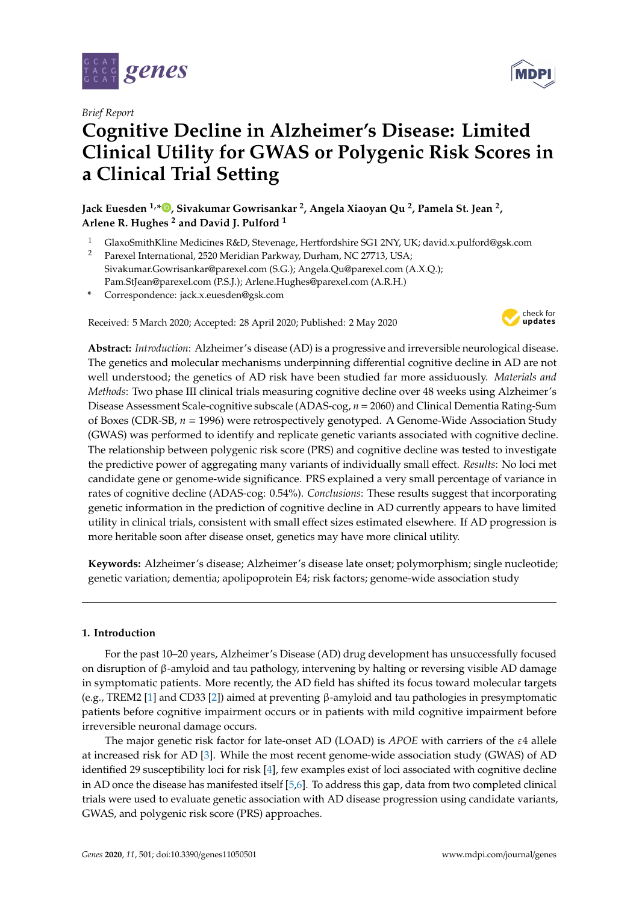

*Brief Report*

# **Cognitive Decline in Alzheimer's Disease: Limited Clinical Utility for GWAS or Polygenic Risk Scores in a Clinical Trial Setting**

**Jack Euesden 1,\* [,](https://orcid.org/0000-0002-6790-1925) Sivakumar Gowrisankar <sup>2</sup> , Angela Xiaoyan Qu <sup>2</sup> , Pamela St. Jean <sup>2</sup> , Arlene R. Hughes <sup>2</sup> and David J. Pulford <sup>1</sup>**

- <sup>1</sup> GlaxoSmithKline Medicines R&D, Stevenage, Hertfordshire SG1 2NY, UK; david.x.pulford@gsk.com
- <sup>2</sup> Parexel International, 2520 Meridian Parkway, Durham, NC 27713, USA; Sivakumar.Gowrisankar@parexel.com (S.G.); Angela.Qu@parexel.com (A.X.Q.); Pam.StJean@parexel.com (P.S.J.); Arlene.Hughes@parexel.com (A.R.H.)
- **\*** Correspondence: jack.x.euesden@gsk.com

Received: 5 March 2020; Accepted: 28 April 2020; Published: 2 May 2020



**Abstract:** *Introduction*: Alzheimer's disease (AD) is a progressive and irreversible neurological disease. The genetics and molecular mechanisms underpinning differential cognitive decline in AD are not well understood; the genetics of AD risk have been studied far more assiduously. *Materials and Methods*: Two phase III clinical trials measuring cognitive decline over 48 weeks using Alzheimer's Disease Assessment Scale-cognitive subscale (ADAS-cog, *n* = 2060) and Clinical Dementia Rating-Sum of Boxes (CDR-SB, *n* = 1996) were retrospectively genotyped. A Genome-Wide Association Study (GWAS) was performed to identify and replicate genetic variants associated with cognitive decline. The relationship between polygenic risk score (PRS) and cognitive decline was tested to investigate the predictive power of aggregating many variants of individually small effect. *Results*: No loci met candidate gene or genome-wide significance. PRS explained a very small percentage of variance in rates of cognitive decline (ADAS-cog: 0.54%). *Conclusions*: These results suggest that incorporating genetic information in the prediction of cognitive decline in AD currently appears to have limited utility in clinical trials, consistent with small effect sizes estimated elsewhere. If AD progression is more heritable soon after disease onset, genetics may have more clinical utility.

**Keywords:** Alzheimer's disease; Alzheimer's disease late onset; polymorphism; single nucleotide; genetic variation; dementia; apolipoprotein E4; risk factors; genome-wide association study

# **1. Introduction**

For the past 10–20 years, Alzheimer's Disease (AD) drug development has unsuccessfully focused on disruption of β-amyloid and tau pathology, intervening by halting or reversing visible AD damage in symptomatic patients. More recently, the AD field has shifted its focus toward molecular targets (e.g., TREM2 [\[1\]](#page-5-0) and CD33 [\[2\]](#page-5-1)) aimed at preventing β-amyloid and tau pathologies in presymptomatic patients before cognitive impairment occurs or in patients with mild cognitive impairment before irreversible neuronal damage occurs.

The major genetic risk factor for late-onset AD (LOAD) is *APOE* with carriers of the ε4 allele at increased risk for AD [\[3\]](#page-5-2). While the most recent genome-wide association study (GWAS) of AD identified 29 susceptibility loci for risk [\[4\]](#page-5-3), few examples exist of loci associated with cognitive decline in AD once the disease has manifested itself [\[5,](#page-5-4)[6\]](#page-5-5). To address this gap, data from two completed clinical trials were used to evaluate genetic association with AD disease progression using candidate variants, GWAS, and polygenic risk score (PRS) approaches.

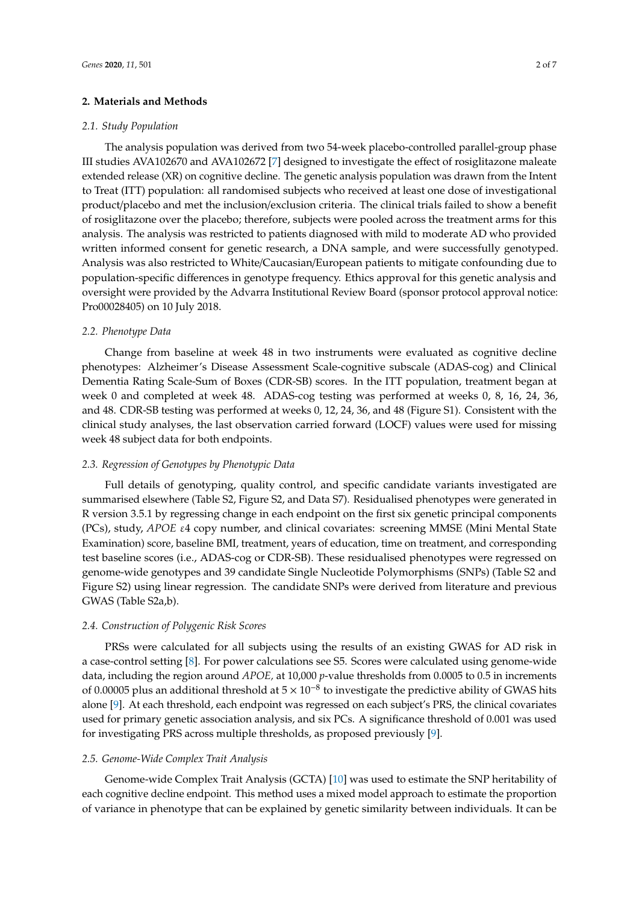# **2. Materials and Methods**

#### *2.1. Study Population*

The analysis population was derived from two 54-week placebo-controlled parallel-group phase III studies AVA102670 and AVA102672 [\[7\]](#page-5-6) designed to investigate the effect of rosiglitazone maleate extended release (XR) on cognitive decline. The genetic analysis population was drawn from the Intent to Treat (ITT) population: all randomised subjects who received at least one dose of investigational product/placebo and met the inclusion/exclusion criteria. The clinical trials failed to show a benefit of rosiglitazone over the placebo; therefore, subjects were pooled across the treatment arms for this analysis. The analysis was restricted to patients diagnosed with mild to moderate AD who provided written informed consent for genetic research, a DNA sample, and were successfully genotyped. Analysis was also restricted to White/Caucasian/European patients to mitigate confounding due to population-specific differences in genotype frequency. Ethics approval for this genetic analysis and oversight were provided by the Advarra Institutional Review Board (sponsor protocol approval notice: Pro00028405) on 10 July 2018.

#### *2.2. Phenotype Data*

Change from baseline at week 48 in two instruments were evaluated as cognitive decline phenotypes: Alzheimer's Disease Assessment Scale-cognitive subscale (ADAS-cog) and Clinical Dementia Rating Scale-Sum of Boxes (CDR-SB) scores. In the ITT population, treatment began at week 0 and completed at week 48. ADAS-cog testing was performed at weeks 0, 8, 16, 24, 36, and 48. CDR-SB testing was performed at weeks 0, 12, 24, 36, and 48 (Figure S1). Consistent with the clinical study analyses, the last observation carried forward (LOCF) values were used for missing week 48 subject data for both endpoints.

# *2.3. Regression of Genotypes by Phenotypic Data*

Full details of genotyping, quality control, and specific candidate variants investigated are summarised elsewhere (Table S2, Figure S2, and Data S7). Residualised phenotypes were generated in R version 3.5.1 by regressing change in each endpoint on the first six genetic principal components (PCs), study, *APOE* ε4 copy number, and clinical covariates: screening MMSE (Mini Mental State Examination) score, baseline BMI, treatment, years of education, time on treatment, and corresponding test baseline scores (i.e., ADAS-cog or CDR-SB). These residualised phenotypes were regressed on genome-wide genotypes and 39 candidate Single Nucleotide Polymorphisms (SNPs) (Table S2 and Figure S2) using linear regression. The candidate SNPs were derived from literature and previous GWAS (Table S2a,b).

# *2.4. Construction of Polygenic Risk Scores*

PRSs were calculated for all subjects using the results of an existing GWAS for AD risk in a case-control setting [\[8\]](#page-6-0). For power calculations see S5. Scores were calculated using genome-wide data, including the region around *APOE,* at 10,000 *p*-value thresholds from 0.0005 to 0.5 in increments of 0.00005 plus an additional threshold at  $5 \times 10^{-8}$  to investigate the predictive ability of GWAS hits alone [\[9\]](#page-6-1). At each threshold, each endpoint was regressed on each subject's PRS, the clinical covariates used for primary genetic association analysis, and six PCs. A significance threshold of 0.001 was used for investigating PRS across multiple thresholds, as proposed previously [\[9\]](#page-6-1).

#### *2.5. Genome-Wide Complex Trait Analysis*

Genome-wide Complex Trait Analysis (GCTA) [\[10\]](#page-6-2) was used to estimate the SNP heritability of each cognitive decline endpoint. This method uses a mixed model approach to estimate the proportion of variance in phenotype that can be explained by genetic similarity between individuals. It can be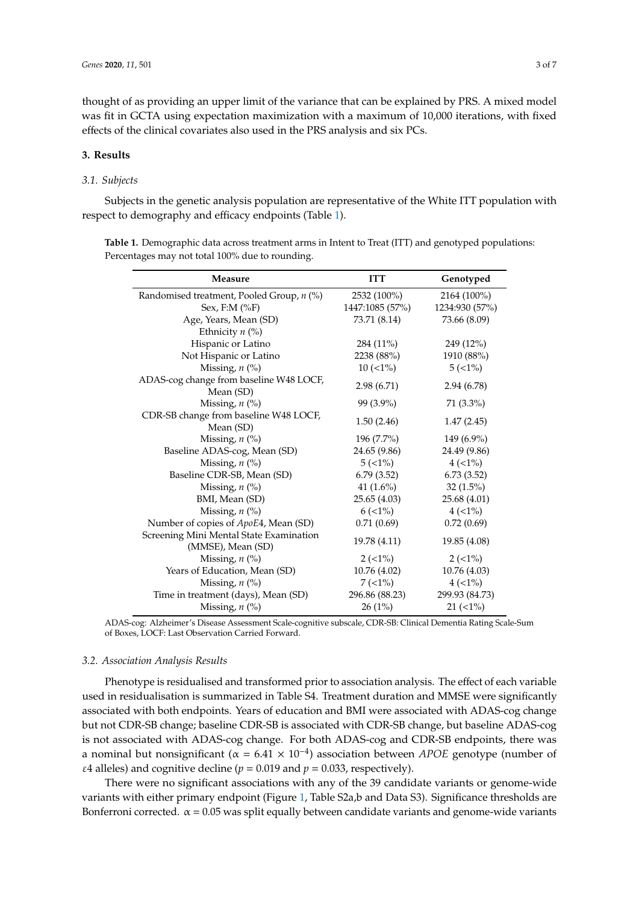thought of as providing an upper limit of the variance that can be explained by PRS. A mixed model was fit in GCTA using expectation maximization with a maximum of 10,000 iterations, with fixed effects of the clinical covariates also used in the PRS analysis and six PCs.

# **3. Results**

# *3.1. Subjects*

Subjects in the genetic analysis population are representative of the White ITT population with respect to demography and efficacy endpoints (Table [1\)](#page-2-0).

| <b>Measure</b>                                               | <b>ITT</b>                             | Genotyped                              |  |
|--------------------------------------------------------------|----------------------------------------|----------------------------------------|--|
| Randomised treatment, Pooled Group, n (%)                    | 2532 (100%)                            | 2164 (100%)                            |  |
| Sex, F:M $(\%F)$                                             | 1447:1085 (57%)                        | 1234:930 (57%)                         |  |
| Age, Years, Mean (SD)                                        | 73.71 (8.14)                           | 73.66 (8.09)                           |  |
| Ethnicity $n$ (%)                                            |                                        |                                        |  |
| Hispanic or Latino                                           | 284 (11%)                              | 249 (12%)                              |  |
| Not Hispanic or Latino                                       | 2238 (88%)                             | 1910 (88%)                             |  |
| Missing, $n$ (%)                                             | $10 \, (\leq 1\%)$                     | $5 \left( \langle 1\% \rangle \right)$ |  |
| ADAS-cog change from baseline W48 LOCF,<br>Mean (SD)         | 2.98(6.71)                             | 2.94(6.78)                             |  |
| Missing, $n$ (%)                                             | 99 (3.9%)                              | $71(3.3\%)$                            |  |
| CDR-SB change from baseline W48 LOCF,<br>Mean (SD)           | 1.50(2.46)                             | 1.47(2.45)                             |  |
| Missing, $n$ (%)                                             | 196 (7.7%)                             | 149 (6.9%)                             |  |
| Baseline ADAS-cog, Mean (SD)                                 | 24.65 (9.86)                           | 24.49 (9.86)                           |  |
| Missing, $n$ (%)                                             | $5(1\%)$                               | $4 \left( \langle 1\% \rangle \right)$ |  |
| Baseline CDR-SB, Mean (SD)                                   | 6.79(3.52)                             | 6.73(3.52)                             |  |
| Missing, $n$ (%)                                             | 41 $(1.6\%)$                           | 32 $(1.5\%)$                           |  |
| BMI, Mean (SD)                                               | 25.65(4.03)                            | 25.68 (4.01)                           |  |
| Missing, $n$ (%)                                             | $6(1\%)$                               | $4 \left( \langle 1\% \rangle \right)$ |  |
| Number of copies of ApoE4, Mean (SD)                         | 0.71(0.69)                             | 0.72(0.69)                             |  |
| Screening Mini Mental State Examination<br>(MMSE), Mean (SD) | 19.78 (4.11)                           | 19.85 (4.08)                           |  |
| Missing, $n$ (%)                                             | $2 \left( \langle 1\% \rangle \right)$ | $2 \left( \langle 1\% \rangle \right)$ |  |
| Years of Education, Mean (SD)                                | 10.76(4.02)                            | 10.76 (4.03)                           |  |
| Missing, $n$ (%)                                             | 7(1%)                                  | $4(1\%)$                               |  |
| Time in treatment (days), Mean (SD)                          | 296.86 (88.23)                         | 299.93 (84.73)                         |  |
| Missing, $n$ (%)                                             | 26(1%)                                 | $21 (< 1\%)$                           |  |

<span id="page-2-0"></span>**Table 1.** Demographic data across treatment arms in Intent to Treat (ITT) and genotyped populations: Percentages may not total 100% due to rounding.

ADAS-cog: Alzheimer's Disease Assessment Scale-cognitive subscale, CDR-SB: Clinical Dementia Rating Scale-Sum of Boxes, LOCF: Last Observation Carried Forward.

# *3.2. Association Analysis Results*

Phenotype is residualised and transformed prior to association analysis. The effect of each variable used in residualisation is summarized in Table S4. Treatment duration and MMSE were significantly associated with both endpoints. Years of education and BMI were associated with ADAS-cog change but not CDR-SB change; baseline CDR-SB is associated with CDR-SB change, but baseline ADAS-cog is not associated with ADAS-cog change. For both ADAS-cog and CDR-SB endpoints, there was a nominal but nonsignificant ( $\alpha = 6.41 \times 10^{-4}$ ) association between *APOE* genotype (number of  $\varepsilon$ 4 alleles) and cognitive decline ( $p = 0.019$  and  $p = 0.033$ , respectively).

There were no significant associations with any of the 39 candidate variants or genome-wide variants with either primary endpoint (Figure [1,](#page-3-0) Table S2a,b and Data S3). Significance thresholds are Bonferroni corrected.  $\alpha$  = 0.05 was split equally between candidate variants and genome-wide variants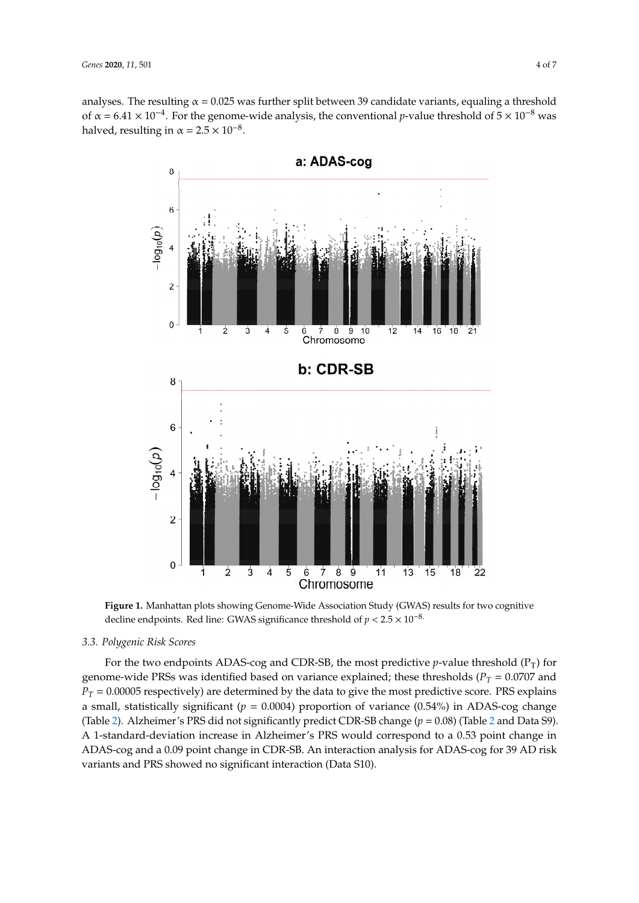<span id="page-3-0"></span>analyses. The resulting  $\alpha = 0.025$  was further split between 39 candidate variants, equaling a threshold of  $\alpha = 6.41 \times 10^{-4}$ . For the genome-wide analysis, the conventional *p*-value threshold of  $5 \times 10^{-8}$  was halved, resulting in  $\alpha = 2.5 \times 10^{-8}$ .



**Figure 1.** Manhattan plots showing Genome-Wide Association Study (GWAS) results for two **Figure 1.** Manhattan plots showing Genome-Wide Association Study (GWAS) results for two cognitive decline endpoints. Red line: GWAS significance threshold of  $p < 2.5 \times 10^{-8}$ .

# *3.3. Polygenic Risk Scores*

For the two endpoints ADAS-cog and CDR-SB, the most predictive *p*-value threshold  $(P_T)$  for genome-wide PRSs was identified based on variance explained; these thresholds (*P<sup>T</sup>* = 0.0707 and  $P_T = 0.00005$  respectively) are determined by the data to give the most predictive score. PRS explains a small, statistically significant ( $p = 0.0004$ ) proportion of variance (0.54%) in ADAS-cog change (Table [2\)](#page-4-0). Alzheimer's PRS did not significantly predict CDR-SB change (*p* = 0.08) (Table [2](#page-4-0) and Data S9). A 1-standard-deviation increase in Alzheimer's PRS would correspond to a 0.53 point change in ADAS-cog and a 0.09 point change in CDR-SB. An interaction analysis for ADAS-cog for 39 AD risk variants and PRS showed no significant interaction (Data S10).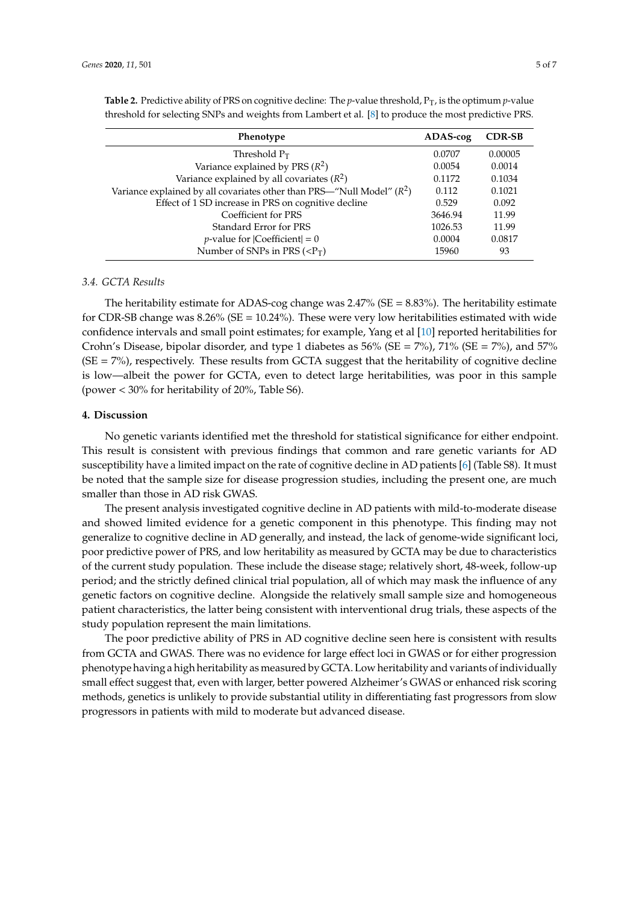| Phenotype                                                                | ADAS-cog | <b>CDR-SB</b> |
|--------------------------------------------------------------------------|----------|---------------|
| Threshold $P_T$                                                          | 0.0707   | 0.00005       |
| Variance explained by PRS $(R^2)$                                        | 0.0054   | 0.0014        |
| Variance explained by all covariates $(R^2)$                             | 0.1172   | 0.1034        |
| Variance explained by all covariates other than PRS—"Null Model" $(R^2)$ | 0.112    | 0.1021        |
| Effect of 1 SD increase in PRS on cognitive decline                      | 0.529    | 0.092         |
| Coefficient for PRS                                                      | 3646.94  | 11.99         |
| Standard Error for PRS                                                   | 1026.53  | 11.99         |
| <i>p</i> -value for $ Coefficient  = 0$                                  | 0.0004   | 0.0817        |
| Number of SNPs in PRS $(PT)$                                             | 15960    | 93            |

<span id="page-4-0"></span>**Table 2.** Predictive ability of PRS on cognitive decline: The *p*-value threshold, PT, is the optimum *p*-value threshold for selecting SNPs and weights from Lambert et al. [\[8\]](#page-6-0) to produce the most predictive PRS.

### *3.4. GCTA Results*

The heritability estimate for ADAS-cog change was  $2.47\%$  (SE =  $8.83\%$ ). The heritability estimate for CDR-SB change was  $8.26\%$  (SE = 10.24%). These were very low heritabilities estimated with wide confidence intervals and small point estimates; for example, Yang et al [\[10\]](#page-6-2) reported heritabilities for Crohn's Disease, bipolar disorder, and type 1 diabetes as 56% (SE = 7%), 71% (SE = 7%), and 57%  $(SE = 7\%)$ , respectively. These results from GCTA suggest that the heritability of cognitive decline is low—albeit the power for GCTA, even to detect large heritabilities, was poor in this sample (power < 30% for heritability of 20%, Table S6).

# **4. Discussion**

No genetic variants identified met the threshold for statistical significance for either endpoint. This result is consistent with previous findings that common and rare genetic variants for AD susceptibility have a limited impact on the rate of cognitive decline in AD patients [\[6\]](#page-5-5) (Table S8). It must be noted that the sample size for disease progression studies, including the present one, are much smaller than those in AD risk GWAS.

The present analysis investigated cognitive decline in AD patients with mild-to-moderate disease and showed limited evidence for a genetic component in this phenotype. This finding may not generalize to cognitive decline in AD generally, and instead, the lack of genome-wide significant loci, poor predictive power of PRS, and low heritability as measured by GCTA may be due to characteristics of the current study population. These include the disease stage; relatively short, 48-week, follow-up period; and the strictly defined clinical trial population, all of which may mask the influence of any genetic factors on cognitive decline. Alongside the relatively small sample size and homogeneous patient characteristics, the latter being consistent with interventional drug trials, these aspects of the study population represent the main limitations.

The poor predictive ability of PRS in AD cognitive decline seen here is consistent with results from GCTA and GWAS. There was no evidence for large effect loci in GWAS or for either progression phenotype having a high heritability as measured by GCTA. Low heritability and variants of individually small effect suggest that, even with larger, better powered Alzheimer's GWAS or enhanced risk scoring methods, genetics is unlikely to provide substantial utility in differentiating fast progressors from slow progressors in patients with mild to moderate but advanced disease.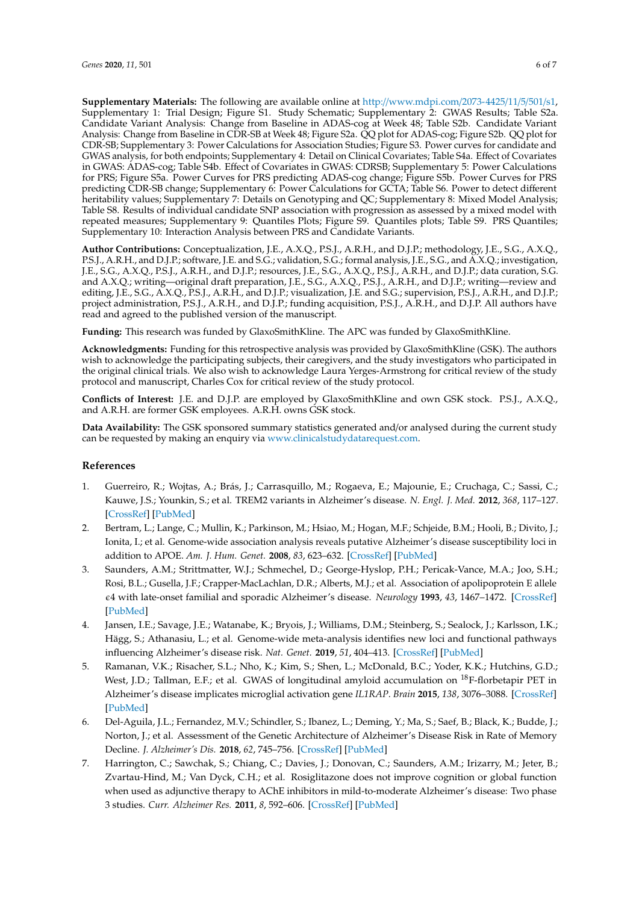**Supplementary Materials:** The following are available online at http://[www.mdpi.com](http://www.mdpi.com/2073-4425/11/5/501/s1)/2073-4425/11/5/501/s1, Supplementary 1: Trial Design; Figure S1. Study Schematic; Supplementary 2: GWAS Results; Table S2a. Candidate Variant Analysis: Change from Baseline in ADAS-cog at Week 48; Table S2b. Candidate Variant Analysis: Change from Baseline in CDR-SB at Week 48; Figure S2a. QQ plot for ADAS-cog; Figure S2b. QQ plot for CDR-SB; Supplementary 3: Power Calculations for Association Studies; Figure S3. Power curves for candidate and GWAS analysis, for both endpoints; Supplementary 4: Detail on Clinical Covariates; Table S4a. Effect of Covariates in GWAS: ADAS-cog; Table S4b. Effect of Covariates in GWAS: CDRSB; Supplementary 5: Power Calculations for PRS; Figure S5a. Power Curves for PRS predicting ADAS-cog change; Figure S5b. Power Curves for PRS predicting CDR-SB change; Supplementary 6: Power Calculations for GCTA; Table S6. Power to detect different heritability values; Supplementary 7: Details on Genotyping and QC; Supplementary 8: Mixed Model Analysis; Table S8. Results of individual candidate SNP association with progression as assessed by a mixed model with repeated measures; Supplementary 9: Quantiles Plots; Figure S9. Quantiles plots; Table S9. PRS Quantiles; Supplementary 10: Interaction Analysis between PRS and Candidate Variants.

**Author Contributions:** Conceptualization, J.E., A.X.Q., P.S.J., A.R.H., and D.J.P.; methodology, J.E., S.G., A.X.Q., P.S.J., A.R.H., and D.J.P.; software, J.E. and S.G.; validation, S.G.; formal analysis, J.E., S.G., and A.X.Q.; investigation, J.E., S.G., A.X.Q., P.S.J., A.R.H., and D.J.P.; resources, J.E., S.G., A.X.Q., P.S.J., A.R.H., and D.J.P.; data curation, S.G. and A.X.Q.; writing—original draft preparation, J.E., S.G., A.X.Q., P.S.J., A.R.H., and D.J.P.; writing—review and editing, J.E., S.G., A.X.Q., P.S.J., A.R.H., and D.J.P.; visualization, J.E. and S.G.; supervision, P.S.J., A.R.H., and D.J.P.; project administration, P.S.J., A.R.H., and D.J.P.; funding acquisition, P.S.J., A.R.H., and D.J.P. All authors have read and agreed to the published version of the manuscript.

**Funding:** This research was funded by GlaxoSmithKline. The APC was funded by GlaxoSmithKline.

**Acknowledgments:** Funding for this retrospective analysis was provided by GlaxoSmithKline (GSK). The authors wish to acknowledge the participating subjects, their caregivers, and the study investigators who participated in the original clinical trials. We also wish to acknowledge Laura Yerges-Armstrong for critical review of the study protocol and manuscript, Charles Cox for critical review of the study protocol.

**Conflicts of Interest:** J.E. and D.J.P. are employed by GlaxoSmithKline and own GSK stock. P.S.J., A.X.Q., and A.R.H. are former GSK employees. A.R.H. owns GSK stock.

**Data Availability:** The GSK sponsored summary statistics generated and/or analysed during the current study can be requested by making an enquiry via [www.clinicalstudydatarequest.com.](www.clinicalstudydatarequest.com)

# **References**

- <span id="page-5-0"></span>1. Guerreiro, R.; Wojtas, A.; Brás, J.; Carrasquillo, M.; Rogaeva, E.; Majounie, E.; Cruchaga, C.; Sassi, C.; Kauwe, J.S.; Younkin, S.; et al. TREM2 variants in Alzheimer's disease. *N. Engl. J. Med.* **2012**, *368*, 117–127. [\[CrossRef\]](http://dx.doi.org/10.1056/NEJMoa1211851) [\[PubMed\]](http://www.ncbi.nlm.nih.gov/pubmed/23150934)
- <span id="page-5-1"></span>2. Bertram, L.; Lange, C.; Mullin, K.; Parkinson, M.; Hsiao, M.; Hogan, M.F.; Schjeide, B.M.; Hooli, B.; Divito, J.; Ionita, I.; et al. Genome-wide association analysis reveals putative Alzheimer's disease susceptibility loci in addition to APOE. *Am. J. Hum. Genet.* **2008**, *83*, 623–632. [\[CrossRef\]](http://dx.doi.org/10.1016/j.ajhg.2008.10.008) [\[PubMed\]](http://www.ncbi.nlm.nih.gov/pubmed/18976728)
- <span id="page-5-2"></span>3. Saunders, A.M.; Strittmatter, W.J.; Schmechel, D.; George-Hyslop, P.H.; Pericak-Vance, M.A.; Joo, S.H.; Rosi, B.L.; Gusella, J.F.; Crapper-MacLachlan, D.R.; Alberts, M.J.; et al. Association of apolipoprotein E allele 4 with late-onset familial and sporadic Alzheimer's disease. *Neurology* **1993**, *43*, 1467–1472. [\[CrossRef\]](http://dx.doi.org/10.1212/WNL.43.8.1467) [\[PubMed\]](http://www.ncbi.nlm.nih.gov/pubmed/8350998)
- <span id="page-5-3"></span>4. Jansen, I.E.; Savage, J.E.; Watanabe, K.; Bryois, J.; Williams, D.M.; Steinberg, S.; Sealock, J.; Karlsson, I.K.; Hägg, S.; Athanasiu, L.; et al. Genome-wide meta-analysis identifies new loci and functional pathways influencing Alzheimer's disease risk. *Nat. Genet.* **2019**, *51*, 404–413. [\[CrossRef\]](http://dx.doi.org/10.1038/s41588-018-0311-9) [\[PubMed\]](http://www.ncbi.nlm.nih.gov/pubmed/30617256)
- <span id="page-5-4"></span>5. Ramanan, V.K.; Risacher, S.L.; Nho, K.; Kim, S.; Shen, L.; McDonald, B.C.; Yoder, K.K.; Hutchins, G.D.; West, J.D.; Tallman, E.F.; et al. GWAS of longitudinal amyloid accumulation on  $^{18}F$ -florbetapir PET in Alzheimer's disease implicates microglial activation gene *IL1RAP*. *Brain* **2015**, *138*, 3076–3088. [\[CrossRef\]](http://dx.doi.org/10.1093/brain/awv231) [\[PubMed\]](http://www.ncbi.nlm.nih.gov/pubmed/26268530)
- <span id="page-5-5"></span>6. Del-Aguila, J.L.; Fernandez, M.V.; Schindler, S.; Ibanez, L.; Deming, Y.; Ma, S.; Saef, B.; Black, K.; Budde, J.; Norton, J.; et al. Assessment of the Genetic Architecture of Alzheimer's Disease Risk in Rate of Memory Decline. *J. Alzheimer's Dis.* **2018**, *62*, 745–756. [\[CrossRef\]](http://dx.doi.org/10.3233/JAD-170834) [\[PubMed\]](http://www.ncbi.nlm.nih.gov/pubmed/29480181)
- <span id="page-5-6"></span>7. Harrington, C.; Sawchak, S.; Chiang, C.; Davies, J.; Donovan, C.; Saunders, A.M.; Irizarry, M.; Jeter, B.; Zvartau-Hind, M.; Van Dyck, C.H.; et al. Rosiglitazone does not improve cognition or global function when used as adjunctive therapy to AChE inhibitors in mild-to-moderate Alzheimer's disease: Two phase 3 studies. *Curr. Alzheimer Res.* **2011**, *8*, 592–606. [\[CrossRef\]](http://dx.doi.org/10.2174/156720511796391935) [\[PubMed\]](http://www.ncbi.nlm.nih.gov/pubmed/21592048)